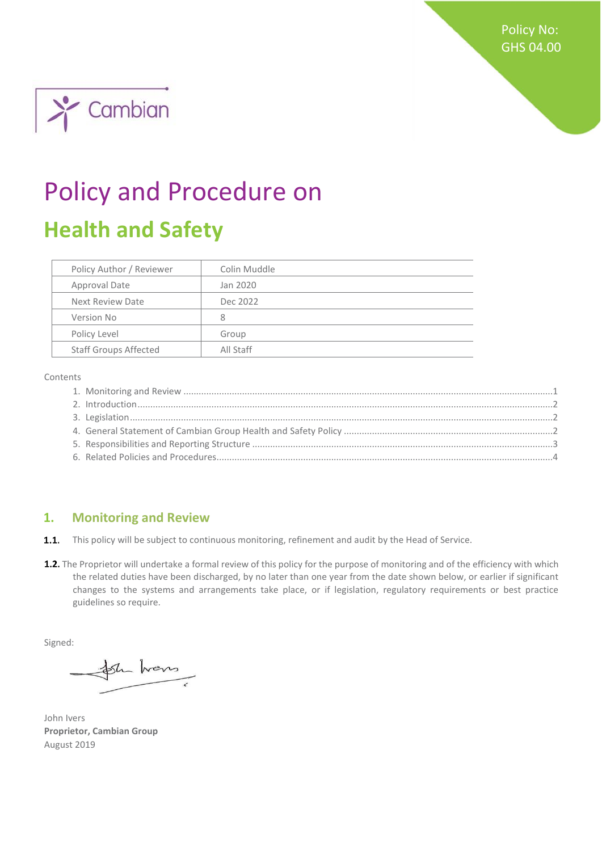Policy No: GHS 04.00



# Policy and Procedure on **Health and Safety**

| Policy Author / Reviewer     | Colin Muddle |
|------------------------------|--------------|
| Approval Date                | Jan 2020     |
| Next Review Date             | Dec 2022     |
| Version No                   | 8            |
| Policy Level                 | Group        |
| <b>Staff Groups Affected</b> | All Staff    |

Contents

### <span id="page-0-0"></span>**1. Monitoring and Review**

 $1.1.$ This policy will be subject to continuous monitoring, refinement and audit by the Head of Service.

1.2. The Proprietor will undertake a formal review of this policy for the purpose of monitoring and of the efficiency with which the related duties have been discharged, by no later than one year from the date shown below, or earlier if significant changes to the systems and arrangements take place, or if legislation, regulatory requirements or best practice guidelines so require.

Signed:

the home

John Ivers **Proprietor, Cambian Group**  August 2019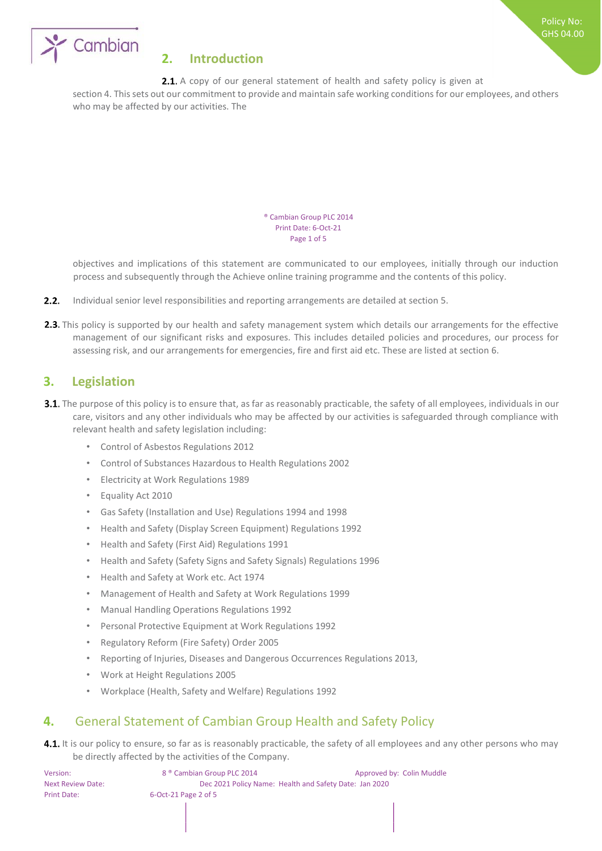

# <span id="page-1-0"></span>**2. Introduction**

2.1. A copy of our general statement of health and safety policy is given at

section 4. This sets out our commitment to provide and maintain safe working conditions for our employees, and others who may be affected by our activities. The

> ® Cambian Group PLC 2014 Print Date: 6-Oct-21 Page 1 of 5

objectives and implications of this statement are communicated to our employees, initially through our induction process and subsequently through the Achieve online training programme and the contents of this policy.

- $2.2.$ Individual senior level responsibilities and reporting arrangements are detailed at section 5.
- 2.3. This policy is supported by our health and safety management system which details our arrangements for the effective management of our significant risks and exposures. This includes detailed policies and procedures, our process for assessing risk, and our arrangements for emergencies, fire and first aid etc. These are listed at section 6.

# <span id="page-1-1"></span>**3. Legislation**

- **3.1.** The purpose of this policy is to ensure that, as far as reasonably practicable, the safety of all employees, individuals in our care, visitors and any other individuals who may be affected by our activities is safeguarded through compliance with relevant health and safety legislation including:
	- Control of Asbestos Regulations 2012
	- Control of Substances Hazardous to Health Regulations 2002
	- Electricity at Work Regulations 1989
	- Equality Act 2010
	- Gas Safety (Installation and Use) Regulations 1994 and 1998
	- Health and Safety (Display Screen Equipment) Regulations 1992
	- Health and Safety (First Aid) Regulations 1991
	- Health and Safety (Safety Signs and Safety Signals) Regulations 1996
	- Health and Safety at Work etc. Act 1974
	- Management of Health and Safety at Work Regulations 1999
	- Manual Handling Operations Regulations 1992
	- Personal Protective Equipment at Work Regulations 1992
	- Regulatory Reform (Fire Safety) Order 2005
	- Reporting of Injuries, Diseases and Dangerous Occurrences Regulations 2013,
	- Work at Height Regulations 2005
	- Workplace (Health, Safety and Welfare) Regulations 1992

# <span id="page-1-2"></span>**4.** General Statement of Cambian Group Health and Safety Policy

4.1. It is our policy to ensure, so far as is reasonably practicable, the safety of all employees and any other persons who may be directly affected by the activities of the Company.

| Version:                 | 8 <sup>®</sup> Cambian Group PLC 2014                  | Approved by: Colin Muddle |  |
|--------------------------|--------------------------------------------------------|---------------------------|--|
| <b>Next Review Date:</b> | Dec 2021 Policy Name: Health and Safety Date: Jan 2020 |                           |  |
| Print Date:              | $6$ -Oct-21 Page 2 of 5                                |                           |  |
|                          |                                                        |                           |  |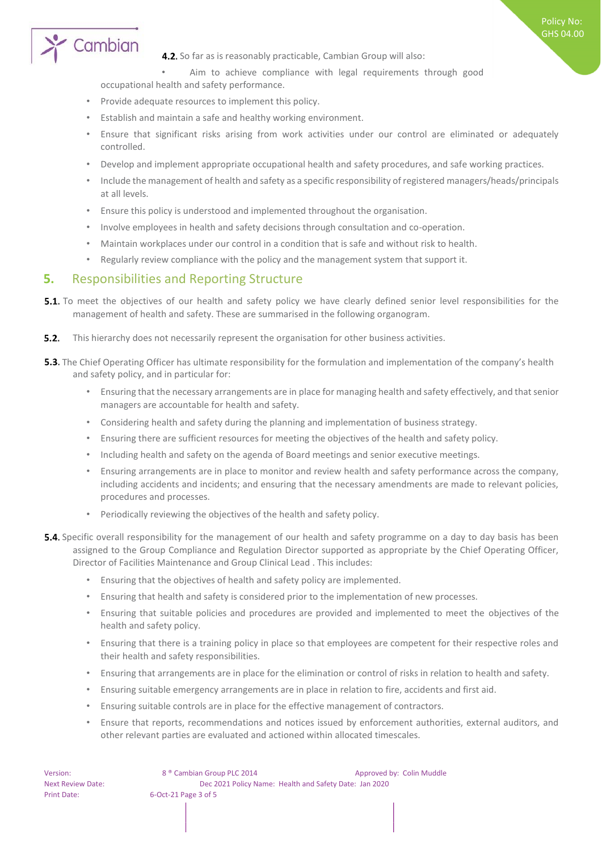

**4.2.** So far as is reasonably practicable, Cambian Group will also:

Aim to achieve compliance with legal requirements through good

Policy No: GHS 04.00

occupational health and safety performance.

- Provide adequate resources to implement this policy.
- Establish and maintain a safe and healthy working environment.
- Ensure that significant risks arising from work activities under our control are eliminated or adequately controlled.
- Develop and implement appropriate occupational health and safety procedures, and safe working practices.
- Include the management of health and safety as a specific responsibility of registered managers/heads/principals at all levels.
- Ensure this policy is understood and implemented throughout the organisation.
- Involve employees in health and safety decisions through consultation and co-operation.
- Maintain workplaces under our control in a condition that is safe and without risk to health.
- Regularly review compliance with the policy and the management system that support it.

#### <span id="page-2-0"></span>**5.** Responsibilities and Reporting Structure

- **5.1.** To meet the objectives of our health and safety policy we have clearly defined senior level responsibilities for the management of health and safety. These are summarised in the following organogram.
- $5.2.$ This hierarchy does not necessarily represent the organisation for other business activities.
- **5.3.** The Chief Operating Officer has ultimate responsibility for the formulation and implementation of the company's health and safety policy, and in particular for:
	- Ensuring that the necessary arrangements are in place for managing health and safety effectively, and that senior managers are accountable for health and safety.
	- Considering health and safety during the planning and implementation of business strategy.
	- Ensuring there are sufficient resources for meeting the objectives of the health and safety policy.
	- Including health and safety on the agenda of Board meetings and senior executive meetings.
	- Ensuring arrangements are in place to monitor and review health and safety performance across the company, including accidents and incidents; and ensuring that the necessary amendments are made to relevant policies, procedures and processes.
	- Periodically reviewing the objectives of the health and safety policy.
- **5.4.** Specific overall responsibility for the management of our health and safety programme on a day to day basis has been assigned to the Group Compliance and Regulation Director supported as appropriate by the Chief Operating Officer, Director of Facilities Maintenance and Group Clinical Lead . This includes:
	- Ensuring that the objectives of health and safety policy are implemented.
	- Ensuring that health and safety is considered prior to the implementation of new processes.
	- Ensuring that suitable policies and procedures are provided and implemented to meet the objectives of the health and safety policy.
	- Ensuring that there is a training policy in place so that employees are competent for their respective roles and their health and safety responsibilities.
	- Ensuring that arrangements are in place for the elimination or control of risks in relation to health and safety.
	- Ensuring suitable emergency arrangements are in place in relation to fire, accidents and first aid.
	- Ensuring suitable controls are in place for the effective management of contractors.
	- Ensure that reports, recommendations and notices issued by enforcement authorities, external auditors, and other relevant parties are evaluated and actioned within allocated timescales.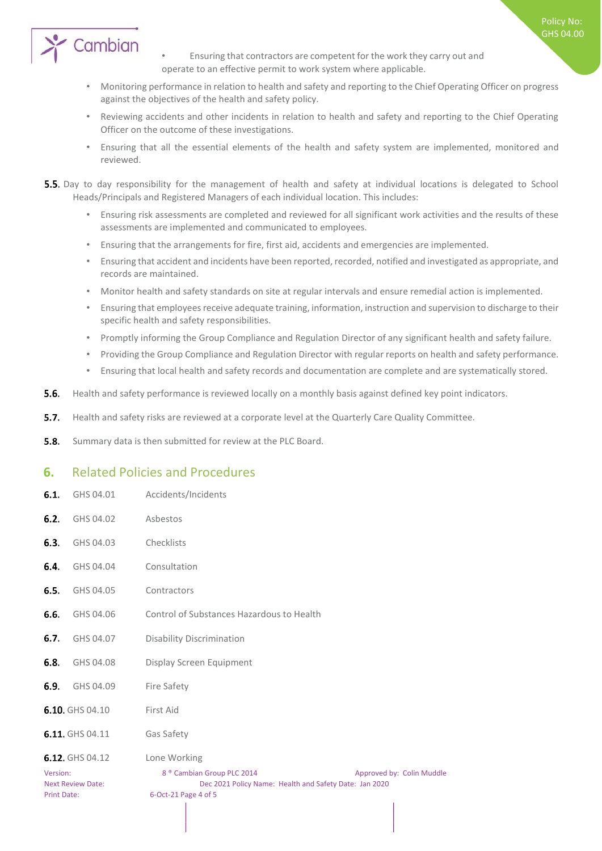

Policy No: GHS 04.00

- Monitoring performance in relation to health and safety and reporting to the Chief Operating Officer on progress against the objectives of the health and safety policy.
- Reviewing accidents and other incidents in relation to health and safety and reporting to the Chief Operating Officer on the outcome of these investigations.
- Ensuring that all the essential elements of the health and safety system are implemented, monitored and reviewed.
- **5.5.** Day to day responsibility for the management of health and safety at individual locations is delegated to School Heads/Principals and Registered Managers of each individual location. This includes:
	- Ensuring risk assessments are completed and reviewed for all significant work activities and the results of these assessments are implemented and communicated to employees.
	- Ensuring that the arrangements for fire, first aid, accidents and emergencies are implemented.
	- Ensuring that accident and incidents have been reported, recorded, notified and investigated as appropriate, and records are maintained.
	- Monitor health and safety standards on site at regular intervals and ensure remedial action is implemented.
	- Ensuring that employees receive adequate training, information, instruction and supervision to discharge to their specific health and safety responsibilities.
	- Promptly informing the Group Compliance and Regulation Director of any significant health and safety failure.
	- Providing the Group Compliance and Regulation Director with regular reports on health and safety performance.
	- Ensuring that local health and safety records and documentation are complete and are systematically stored.
- $5.6.$ Health and safety performance is reviewed locally on a monthly basis against defined key point indicators.
- $5.7.$ Health and safety risks are reviewed at a corporate level at the Quarterly Care Quality Committee.
- $5.8.$ Summary data is then submitted for review at the PLC Board.

### <span id="page-3-0"></span>**6.** Related Policies and Procedures

| 6.1.                           | GHS 04.01                | Accidents/Incidents                                                                                                     |                           |
|--------------------------------|--------------------------|-------------------------------------------------------------------------------------------------------------------------|---------------------------|
| 6.2.                           | GHS 04.02                | Asbestos                                                                                                                |                           |
| 6.3.                           | GHS 04.03                | Checklists                                                                                                              |                           |
| 6.4.                           | GHS 04.04                | Consultation                                                                                                            |                           |
| 6.5.                           | GHS 04.05                | Contractors                                                                                                             |                           |
| 6.6.                           | GHS 04.06                | Control of Substances Hazardous to Health                                                                               |                           |
| 6.7.                           | GHS 04.07                | <b>Disability Discrimination</b>                                                                                        |                           |
| 6.8.                           | GHS 04.08                | Display Screen Equipment                                                                                                |                           |
| 6.9.                           | GHS 04.09                | Fire Safety                                                                                                             |                           |
|                                | 6.10. GHS 04.10          | First Aid                                                                                                               |                           |
|                                | 6.11. GHS 04.11          | Gas Safety                                                                                                              |                           |
|                                | 6.12. GHS 04.12          | Lone Working                                                                                                            |                           |
| Version:<br><b>Print Date:</b> | <b>Next Review Date:</b> | 8 <sup>®</sup> Cambian Group PLC 2014<br>Dec 2021 Policy Name: Health and Safety Date: Jan 2020<br>6-Oct-21 Page 4 of 5 | Approved by: Colin Muddle |